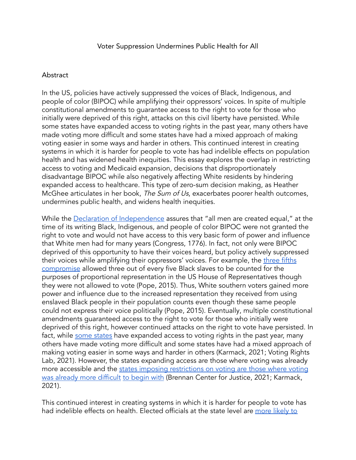## Abstract

In the US, policies have actively suppressed the voices of Black, Indigenous, and people of color (BIPOC) while amplifying their oppressors' voices. In spite of multiple constitutional amendments to guarantee access to the right to vote for those who initially were deprived of this right, attacks on this civil liberty have persisted. While some states have expanded access to voting rights in the past year, many others have made voting more difficult and some states have had a mixed approach of making voting easier in some ways and harder in others. This continued interest in creating systems in which it is harder for people to vote has had indelible effects on population health and has widened health inequities. This essay explores the overlap in restricting access to voting and Medicaid expansion, decisions that disproportionately disadvantage BIPOC while also negatively affecting White residents by hindering expanded access to healthcare. This type of zero-sum decision making, as Heather McGhee articulates in her book, The Sum of Us, exacerbates poorer health outcomes, undermines public health, and widens health inequities.

While the Declaration of [Independence](http://bri-docs.s3.amazonaws.com/BAA-001-HandoutE.pdf) assures that "all men are created equal," at the time of its writing Black, Indigenous, and people of color BIPOC were not granted the right to vote and would not have access to this very basic form of power and influence that White men had for many years [\(Congress,](https://www.zotero.org/google-docs/?bYpIS9) 1776). In fact, not only were BIPOC deprived of this opportunity to have their voices heard, but policy actively suppressed their voices while amplifying their oppressors' voices. For example, the [three](https://onlinelibrary.wiley.com/doi/abs/10.1002/9781118663202.wberen571) fifths [compromise](https://onlinelibrary.wiley.com/doi/abs/10.1002/9781118663202.wberen571) allowed three out of every five Black slaves to be counted for the purposes of proportional representation in the US House of Representatives though they were not allowed to vote [\(Pope,](https://www.zotero.org/google-docs/?9E36Jy) 2015). Thus, White southern voters gained more power and influence due to the increased representation they received from using enslaved Black people in their population counts even though these same people could not express their voice politically [\(Pope,](https://www.zotero.org/google-docs/?dNkZdJ) 2015). Eventually, multiple constitutional amendments guaranteed access to the right to vote for those who initially were deprived of this right, however continued attacks on the right to vote have persisted. In fact, while some [states](https://votingrightslab.org/a-tale-of-two-democracies-how-the-2021-wave-of-state-voting-laws-created-a-new-american-fault-line/) have expanded access to voting rights in the past year, many others have made voting more difficult and some states have had a mixed approach of making voting easier in some ways and harder in others [\(Karmack,](https://www.zotero.org/google-docs/?88rOCv) 2021; Voting Rights Lab, [2021\)](https://www.zotero.org/google-docs/?88rOCv). However, the states expanding access are those where voting was already more accessible and the states imposing [restrictions](https://www.brennancenter.org/our-work/research-reports/voting-laws-roundup-october-2021) on voting are those where voting was already more [difficult](https://www.brennancenter.org/our-work/research-reports/voting-laws-roundup-october-2021) to [begin](https://www.brookings.edu/blog/fixgov/2021/10/26/voter-suppression-or-voter-expansion-whats-happening-and-does-it-matter/) with (Brennan Center for Justice, 2021; [Karmack,](https://www.zotero.org/google-docs/?DWZ8rH) [2021\).](https://www.zotero.org/google-docs/?DWZ8rH)

This continued interest in creating systems in which it is harder for people to vote has had indelible effects on health. Elected officials at the state level are [more](https://www.sciencedirect.com/science/article/pii/S2667193X21000181#bib0008) likely to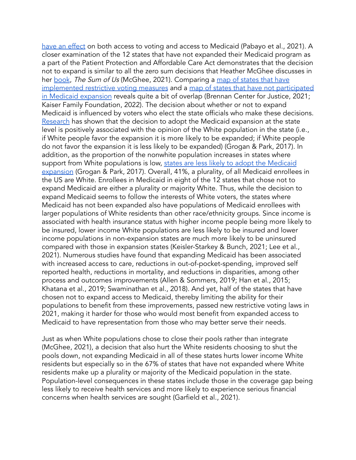have an [effect](https://www.sciencedirect.com/science/article/pii/S2667193X21000181#bib0008) on both access to voting and access to Medicaid [\(Pabayo](https://www.zotero.org/google-docs/?rrhriV) et al., 2021). A closer examination of the 12 states that have not expanded their Medicaid program as a part of the Patient Protection and Affordable Care Act demonstrates that the decision not to expand is similar to all the zero sum decisions that Heather McGhee discusses in her [book](https://www.amazon.com/Sum-Us-Everyone-Prosper-Together/dp/0525509569), The Sum of Us [\(McGhee,](https://www.zotero.org/google-docs/?oueg3t) 2021). Comparing a map of [states](https://www.brennancenter.org/our-work/research-reports/voting-laws-roundup-october-2021) that have [implemented](https://www.brennancenter.org/our-work/research-reports/voting-laws-roundup-october-2021) restrictive voting measures and a map of states that have not [participated](https://www.kff.org/medicaid/issue-brief/status-of-state-medicaid-expansion-decisions-interactive-map/) in Medicaid [expansion](https://www.kff.org/medicaid/issue-brief/status-of-state-medicaid-expansion-decisions-interactive-map/) reveals quite a bit of overlap [\(Brennan](https://www.zotero.org/google-docs/?CeqpTv) Center for Justice, 2021; Kaiser Family [Foundation,](https://www.zotero.org/google-docs/?CeqpTv) 2022). The decision about whether or not to expand Medicaid is influenced by voters who elect the state officials who make these decisions. [Research](https://read.dukeupress.edu/jhppl/article/42/3/539/13927/The-Racial-Divide-in-State-Medicaid-Expansions) has shown that the decision to adopt the Medicaid expansion at the state level is positively associated with the opinion of the White population in the state (i.e., if White people favor the expansion it is more likely to be expanded; if White people do not favor the expansion it is less likely to be expanded) [\(Grogan](https://www.zotero.org/google-docs/?NHuBiT) & Park, 2017). In addition, as the proportion of the nonwhite population increases in states where support from White populations is low, states are less likely to adopt the [Medicaid](https://read.dukeupress.edu/jhppl/article/42/3/539/13927/The-Racial-Divide-in-State-Medicaid-Expansions) [expansion](https://read.dukeupress.edu/jhppl/article/42/3/539/13927/The-Racial-Divide-in-State-Medicaid-Expansions) [\(Grogan](https://www.zotero.org/google-docs/?mtRXCD) & Park, 2017). Overall, 41%, a plurality, of all Medicaid enrollees in the US are White. Enrollees in Medicaid in eight of the 12 states that chose not to expand Medicaid are either a plurality or majority White. Thus, while the decision to expand Medicaid seems to follow the interests of White voters, the states where Medicaid has not been expanded also have populations of Medicaid enrollees with larger populations of White residents than other race/ethnicity groups. Since income is associated with health insurance status with higher income people being more likely to be insured, lower income White populations are less likely to be insured and lower income populations in non-expansion states are much more likely to be uninsured compared with those in expansion states [\(Keisler-Starkey](https://www.zotero.org/google-docs/?FFqbck) & Bunch, 2021; Lee et al., [2021\).](https://www.zotero.org/google-docs/?FFqbck) Numerous studies have found that expanding Medicaid has been associated with increased access to care, reductions in out-of-pocket-spending, improved self reported health, reductions in mortality, and reductions in disparities, among other process and outcomes improvements (Allen & [Sommers,](https://www.zotero.org/google-docs/?TUIa4Y) 2019; Han et al., 2015; Khatana et al., 2019; [Swaminathan](https://www.zotero.org/google-docs/?TUIa4Y) et al., 2018). And yet, half of the states that have chosen not to expand access to Medicaid, thereby limiting the ability for their populations to benefit from these improvements, passed new restrictive voting laws in 2021, making it harder for those who would most benefit from expanded access to Medicaid to have representation from those who may better serve their needs.

Just as when White populations chose to close their pools rather than integrate [\(McGhee,](https://www.zotero.org/google-docs/?KmHscO) 2021), a decision that also hurt the White residents choosing to shut the pools down, not expanding Medicaid in all of these states hurts lower income White residents but especially so in the 67% of states that have not expanded where White residents make up a plurality or majority of the Medicaid population in the state. Population-level consequences in these states include those in the coverage gap being less likely to receive health services and more likely to experience serious financial concerns when health services are sought [\(Garfield](https://www.zotero.org/google-docs/?iZca0s) et al., 2021).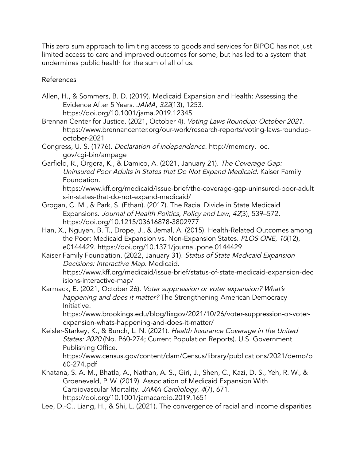This zero sum approach to limiting access to goods and services for BIPOC has not just limited access to care and improved outcomes for some, but has led to a system that undermines public health for the sum of all of us.

## References

- Allen, H., & Sommers, B. D. (2019). Medicaid [Expansion](https://www.zotero.org/google-docs/?xPzT3U) and Health: Assessing the [Evidence](https://www.zotero.org/google-docs/?xPzT3U) After 5 Years. JAMA, 322(13), 1253. [https://doi.org/10.1001/jama.2019.12345](https://www.zotero.org/google-docs/?xPzT3U)
- Brennan Center for Justice. (2021, October 4). Voting Laws [Roundup:](https://www.zotero.org/google-docs/?xPzT3U) October 2021. [https://www.brennancenter.org/our-work/research-reports/voting-laws-roundup](https://www.zotero.org/google-docs/?xPzT3U)[october-2021](https://www.zotero.org/google-docs/?xPzT3U)
- Congress, U. S. (1776). Declaration of independence. [http://memory.](https://www.zotero.org/google-docs/?xPzT3U) loc. [gov/cgi-bin/ampage](https://www.zotero.org/google-docs/?xPzT3U)
- Garfield, R., Orgera, K., & Damico, A. (2021, January 21). The [Coverage](https://www.zotero.org/google-docs/?xPzT3U) Gap: [Uninsured](https://www.zotero.org/google-docs/?xPzT3U) Poor Adults in States that Do Not Expand Medicaid. Kaiser Family [Foundation.](https://www.zotero.org/google-docs/?xPzT3U) [https://www.kff.org/medicaid/issue-brief/the-coverage-gap-uninsured-poor-adult](https://www.zotero.org/google-docs/?xPzT3U) [s-in-states-that-do-not-expand-medicaid/](https://www.zotero.org/google-docs/?xPzT3U)
- Grogan, C. M., & Park, S. (Ethan). (2017). The Racial Divide in State [Medicaid](https://www.zotero.org/google-docs/?xPzT3U) [Expansions.](https://www.zotero.org/google-docs/?xPzT3U) Journal of Health Politics, Policy and Law, 42(3), 539–572. [https://doi.org/10.1215/03616878-3802977](https://www.zotero.org/google-docs/?xPzT3U)
- Han, X., Nguyen, B. T., Drope, J., & Jemal, A. (2015). [Health-Related](https://www.zotero.org/google-docs/?xPzT3U) Outcomes among the Poor: Medicaid Expansion vs. [Non-Expansion](https://www.zotero.org/google-docs/?xPzT3U) States. PLOS ONE, 10(12), e0144429. [https://doi.org/10.1371/journal.pone.0144429](https://www.zotero.org/google-docs/?xPzT3U)
- Kaiser Family [Foundation.](https://www.zotero.org/google-docs/?xPzT3U) (2022, January 31). Status of State Medicaid Expansion Decisions: Interactive Map. [Medicaid.](https://www.zotero.org/google-docs/?xPzT3U) [https://www.kff.org/medicaid/issue-brief/status-of-state-medicaid-expansion-dec](https://www.zotero.org/google-docs/?xPzT3U) [isions-interactive-map/](https://www.zotero.org/google-docs/?xPzT3U)
- Karmack, E. (2021, October 26). Voter [suppression](https://www.zotero.org/google-docs/?xPzT3U) or voter expansion? What's happening and does it matter? The [Strengthening](https://www.zotero.org/google-docs/?xPzT3U) American Democracy [Initiative.](https://www.zotero.org/google-docs/?xPzT3U)

[https://www.brookings.edu/blog/fixgov/2021/10/26/voter-suppression-or-voter](https://www.zotero.org/google-docs/?xPzT3U)[expansion-whats-happening-and-does-it-matter/](https://www.zotero.org/google-docs/?xPzT3U)

[Keisler-Starkey,](https://www.zotero.org/google-docs/?xPzT3U) K., & Bunch, L. N. (2021). Health Insurance Coverage in the United States: 2020 (No. P60-274; Current Population Reports). U.S. [Government](https://www.zotero.org/google-docs/?xPzT3U) [Publishing](https://www.zotero.org/google-docs/?xPzT3U) Office.

[https://www.census.gov/content/dam/Census/library/publications/2021/demo/p](https://www.zotero.org/google-docs/?xPzT3U) [60-274.pdf](https://www.zotero.org/google-docs/?xPzT3U)

- [Khatana,](https://www.zotero.org/google-docs/?xPzT3U) S. A. M., Bhatla, A., Nathan, A. S., Giri, J., Shen, C., Kazi, D. S., Yeh, R. W., & [Groeneveld,](https://www.zotero.org/google-docs/?xPzT3U) P. W. (2019). Association of Medicaid Expansion With [Cardiovascular](https://www.zotero.org/google-docs/?xPzT3U) Mortality. JAMA Cardiology, 4(7), 671. [https://doi.org/10.1001/jamacardio.2019.1651](https://www.zotero.org/google-docs/?xPzT3U)
- Lee, D.-C., Liang, H., & Shi, L. (2021). The [convergence](https://www.zotero.org/google-docs/?xPzT3U) of racial and income disparities